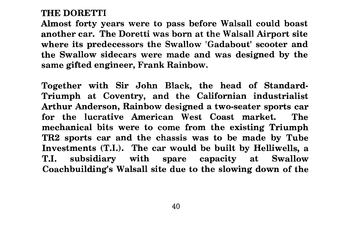## THE DORETTI

Almost forty years were to pass before Walsall could boast another car. The Doretti was born at the Walsall Airport site where its predecessors the Swallow 'Gadabout' scooter and the Swallow sidecars were made and was designed by the same gifted engineer, Frank Rainbow.

Together with Sir John Black, the head of Standard-Triumph at Coventry, and the Californian industrialist Arthur Anderson, Rainbow designed a two-seater sports car for the lucrative American West Coast market. The mechanical bits were to come from the existing Triumph TR2 sports car and the chassis was to be made by Tube Investments (T.I.). The car would be built by Helliwells, a T.I. subsidiary with spare capacity at Swallow Coachbuilding's Walsall site due to the slowing down of the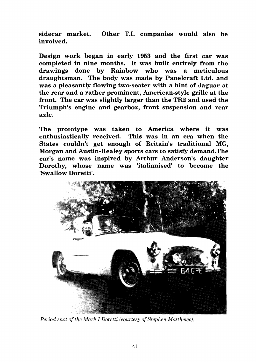sidecar market. Other T.I. companies would also be involved.

Design work began in early 1953 and the first car was completed in nine months. It was built entirely from the drawings done by Rainbow who was a meticulous draughtsman. The body was made by Panelcraft Ltd. and was a pleasantly flowing two-seater with a hint of Jaguar at the rear and a rather prominent, American-style grille at the front. The car was slightly larger than the TR2 and used the Triumph's engine and gearbox, front suspension and rear axle.

The prototype was taken to America where it was enthusiastically received. This was in an era when the States couldn't get enough of Britain's traditional MG, Morgan and Austin-Healey sports cars to satisfy demand.The car's name was inspired by Arthur Anderson's daughter Dorothy, whose name was 'italianised' to become the 'Swallow Doretti'.



*Period shot of the Mark I Doretti (courtesy of Stephen Matthews).*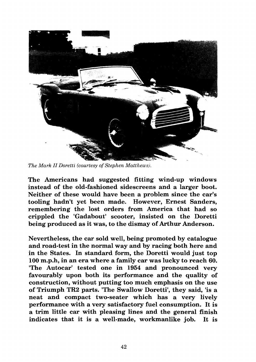

*The Mark II Doretti (courtesy of Stephen Matthewsj.* 

The Americans had suggested fitting wind-up windows instead of the old-fashioned sidescreens and a larger boot. Neither of these would have been a problem since the car's tooling hadn't yet been made. However, Ernest Sanders, remembering the lost orders from America that had so crippled the 'Gadabout' scooter, insisted on the Doretti being produced as it was, to the dismay of Arthur Anderson.

Nevertheless, the car sold well, being promoted by catalogue and road-test in the normal way and by racing both here and in the States. In standard form, the Doretti would just top **100** m.p.h, in an era where a family car was lucky to reach **60.**  'The Autocar' tested one in **1954** and pronounced very favourably upon both its performance and the quality of construction, without putting too much emphasis on the use of Triumph TR2 parts. 'The Swallow Doretti', they said, 'is a neat and compact two-seater which has a very lively performance with a very satisfactory fuel consumption. It is a trim little car with pleasing lines and the general finish indicates that it is a well-made, workmanlike job. It is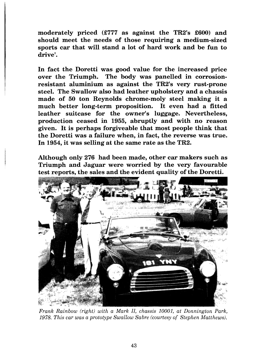moderately priced (£777 as against the TR2's £600) and should meet the needs of those requiring a medium-sized sports car that will stand a lot of hard work and be fun to drive'.

In fact the Doretti was good value for the increased price over the Triumph. The body was panelled in corrosionresistant aluminium as against the TR2's very rust-prone steel. The Swallow also had leather upholstery and a chassis made of 50 ton Reynolds chrome-moly steel making it a much better long-term proposition. It even had a fitted leather suitcase for the owner's luggage. Nevertheless, production ceased in 1955, abruptly and with no reason given. It is perhaps forgiveable that most people think that the Doretti was a failure when, in fact, the reverse was true. In 1954, it was selling at the same rate as the TR2.

Although only 276 had been made, other car makers such as Triumph and Jaguar were worried by the very favourable test reports, the sales and the evident quality of the Doretti.



*Frank Rainbow (right) with a Mark II, chassis 10001, at Donnington Park, 1978. This car was a prototype Swallow Sabre (courtesy of Stephen Matthews).*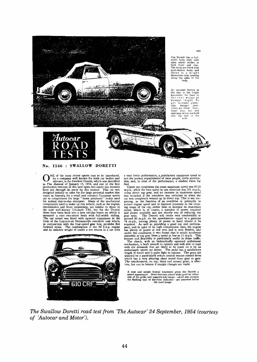

**No. <sup>1546</sup>**: **SWALLOW DORETTI** 

NE of the most recent sports cars to be introduced,<br>by a company well known for both car bodies and<br>in The Autocar of January 15, 1954, and one of the first by a company well known for both car bodies and<br>in The Autocars, is the Swallow Doretti, which was described<br>production versions of January 15, 1954, and one of the first<br>production versions of this new open two-seater has transmission and front suspension, are similar to those in<br>the now well-known Triumph TR2, but for the Doretti<br>these have been built into a new tubular frame on which is<br>mounted a neat two-seater body with full-width styli



a very lively performance, a satisfactory maximum speed to suit the normal requirements of most people, lively acceleration, and, in view of the performance, a modest thirst for

fuel.<br>
Under test conditions the mean maximum speed was 97.25<br>
un.b., while the best speed in one direction was 101 m.p.h.,<br>
using direct top gear, and no increase in maximum speed<br>
was recorded if the overdrive was switch prising, as the function of an overdrive is primarily to<br>reduce engine speed and to improve economy in the cruis-<br>ring range of the car, rather than to increase its maximum<br>speed, which is, of course, a question of power r length of travel and is quite light to operate. The gears are selected by a particularly robust central remote control lever which has a very pleasing short travel from gear to gear. The synchromesh, on top, third and seco

A neat and simple frontal treatment gives the Doretti a smart appearance. Overriders are placed wide apart on either side of the grille, and separate side of the grille, and separate side of the flashing type of direction the head lamps.

*The Swallow Doretti road test from 'The Autocar' 24 September, 1954 (courtesy of 'Autocar and Motor').* 

44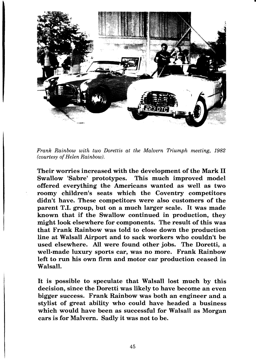

*Frank Rainbow with two Dorettis at the Malvern Triumph meeting, 1982 (courtesy of Helen Rainbow).* 

Their worries increased with the development of the Mark I1 Swallow 'Sabre' prototypes. This much improved model offered everything the Americans wanted as well as two roomy children's seats which the Coventry competitors didn't have. These competitors were also customers of the parent T.I. group, but on a much larger scale. It was made known that if the Swallow continued in production, they might look elsewhere for components. The result of this was that Frank Rainbow was told to close down the production line at Walsall Airport and to sack workers who couldn't be used elsewhere. All were found other jobs. The Doretti, a well-made luxury sports car, was no more. Frank Rainbow left to run his own firm and motor car production ceased in Walsall.

It is possible to speculate that Walsall lost much by this decision, since the Doretti was likely to have become an even bigger success. Frank Rainbow was both an engineer and a stylist of great ability who could have headed a business which would have been as successful for Walsall as Morgan cars is for Malvern. Sadly it was not to be.